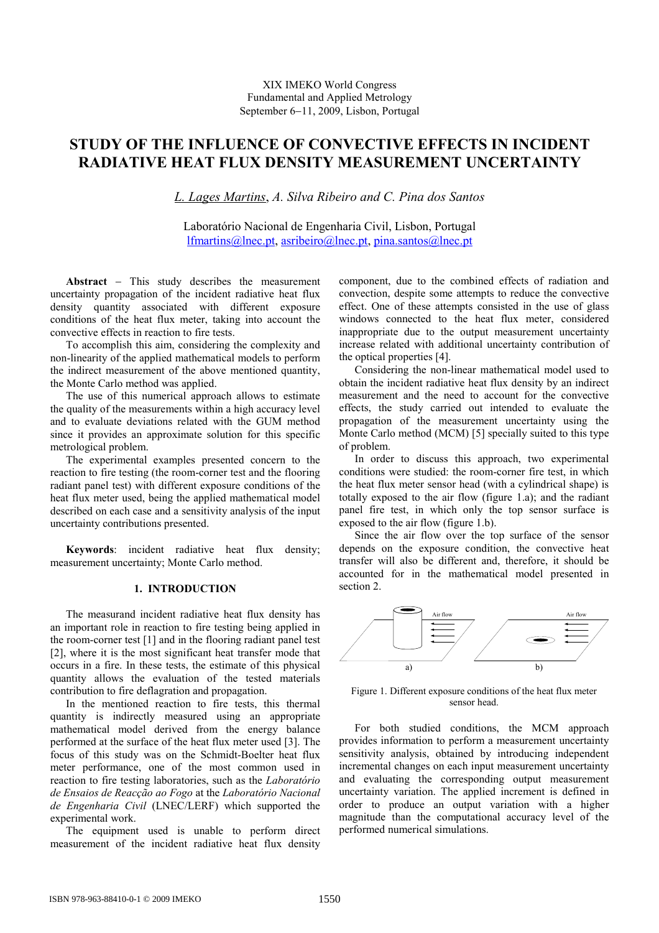## XIX IMEKO World Congress Fundamental and Applied Metrology September 6−11, 2009, Lisbon, Portugal

# STUDY OF THE INFLUENCE OF CONVECTIVE EFFECTS IN INCIDENT RADIATIVE HEAT FLUX DENSITY MEASUREMENT UNCERTAINTY

L. Lages Martins, A. Silva Ribeiro and C. Pina dos Santos

Laboratório Nacional de Engenharia Civil, Lisbon, Portugal lfmartins@lnec.pt, asribeiro@lnec.pt, pina.santos@lnec.pt

Abstract − This study describes the measurement uncertainty propagation of the incident radiative heat flux density quantity associated with different exposure conditions of the heat flux meter, taking into account the convective effects in reaction to fire tests.

To accomplish this aim, considering the complexity and non-linearity of the applied mathematical models to perform the indirect measurement of the above mentioned quantity, the Monte Carlo method was applied.

The use of this numerical approach allows to estimate the quality of the measurements within a high accuracy level and to evaluate deviations related with the GUM method since it provides an approximate solution for this specific metrological problem.

The experimental examples presented concern to the reaction to fire testing (the room-corner test and the flooring radiant panel test) with different exposure conditions of the heat flux meter used, being the applied mathematical model described on each case and a sensitivity analysis of the input uncertainty contributions presented.

Keywords: incident radiative heat flux density; measurement uncertainty; Monte Carlo method.

## 1. INTRODUCTION

The measurand incident radiative heat flux density has an important role in reaction to fire testing being applied in the room-corner test [1] and in the flooring radiant panel test [2], where it is the most significant heat transfer mode that occurs in a fire. In these tests, the estimate of this physical quantity allows the evaluation of the tested materials contribution to fire deflagration and propagation.

In the mentioned reaction to fire tests, this thermal quantity is indirectly measured using an appropriate mathematical model derived from the energy balance performed at the surface of the heat flux meter used [3]. The focus of this study was on the Schmidt-Boelter heat flux meter performance, one of the most common used in reaction to fire testing laboratories, such as the Laboratório de Ensaios de Reacção ao Fogo at the Laboratório Nacional de Engenharia Civil (LNEC/LERF) which supported the experimental work.

The equipment used is unable to perform direct measurement of the incident radiative heat flux density

component, due to the combined effects of radiation and convection, despite some attempts to reduce the convective effect. One of these attempts consisted in the use of glass windows connected to the heat flux meter, considered inappropriate due to the output measurement uncertainty increase related with additional uncertainty contribution of the optical properties [4].

Considering the non-linear mathematical model used to obtain the incident radiative heat flux density by an indirect measurement and the need to account for the convective effects, the study carried out intended to evaluate the propagation of the measurement uncertainty using the Monte Carlo method (MCM) [5] specially suited to this type of problem.

In order to discuss this approach, two experimental conditions were studied: the room-corner fire test, in which the heat flux meter sensor head (with a cylindrical shape) is totally exposed to the air flow (figure 1.a); and the radiant panel fire test, in which only the top sensor surface is exposed to the air flow (figure 1.b).

Since the air flow over the top surface of the sensor depends on the exposure condition, the convective heat transfer will also be different and, therefore, it should be accounted for in the mathematical model presented in section 2.



Figure 1. Different exposure conditions of the heat flux meter sensor head.

For both studied conditions, the MCM approach provides information to perform a measurement uncertainty sensitivity analysis, obtained by introducing independent incremental changes on each input measurement uncertainty and evaluating the corresponding output measurement uncertainty variation. The applied increment is defined in order to produce an output variation with a higher magnitude than the computational accuracy level of the performed numerical simulations.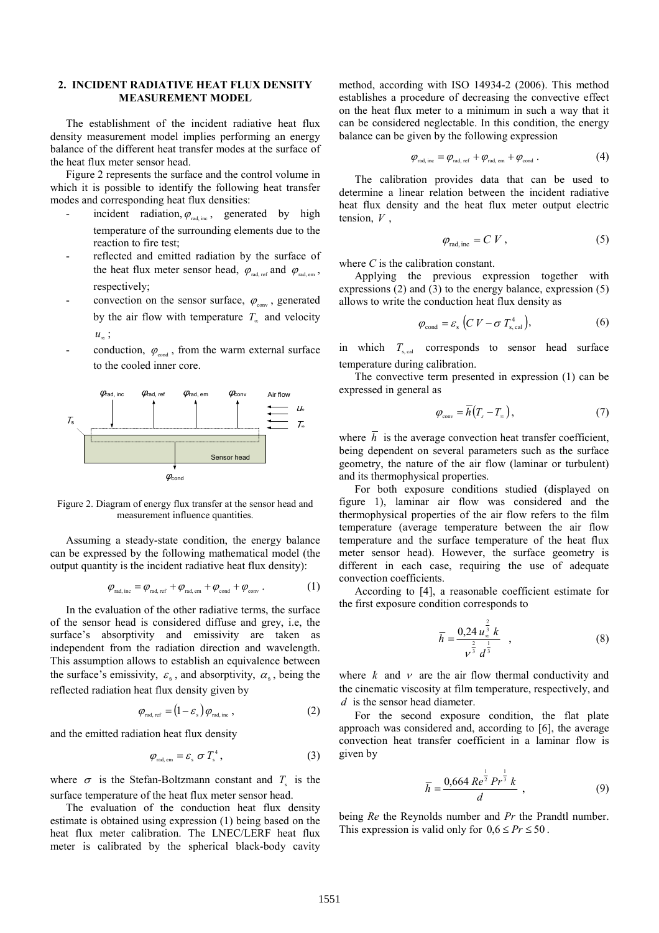## 2. INCIDENT RADIATIVE HEAT FLUX DENSITY MEASUREMENT MODEL

The establishment of the incident radiative heat flux density measurement model implies performing an energy balance of the different heat transfer modes at the surface of the heat flux meter sensor head.

Figure 2 represents the surface and the control volume in which it is possible to identify the following heat transfer modes and corresponding heat flux densities:

- incident radiation,  $\varphi_{rad, inc}$ , generated by high temperature of the surrounding elements due to the reaction to fire test;
- reflected and emitted radiation by the surface of the heat flux meter sensor head,  $\varphi_{\text{rad, ref}}$  and  $\varphi_{\text{rad, em}}$ , respectively;
- convection on the sensor surface,  $\varphi_{\text{conv}}$ , generated by the air flow with temperature  $T_{\infty}$  and velocity  $u_{\infty}$ ;
- conduction,  $\varphi_{\text{cond}}$ , from the warm external surface to the cooled inner core.



Figure 2. Diagram of energy flux transfer at the sensor head and measurement influence quantities.

Assuming a steady-state condition, the energy balance can be expressed by the following mathematical model (the output quantity is the incident radiative heat flux density):

$$
\varphi_{\text{rad, inc}} = \varphi_{\text{rad, ref}} + \varphi_{\text{rad, em}} + \varphi_{\text{cond}} + \varphi_{\text{conv}}.
$$
 (1)

In the evaluation of the other radiative terms, the surface of the sensor head is considered diffuse and grey, i.e, the surface's absorptivity and emissivity are taken as independent from the radiation direction and wavelength. This assumption allows to establish an equivalence between the surface's emissivity,  $\varepsilon_{\rm s}$ , and absorptivity,  $\alpha_{\rm s}$ , being the reflected radiation heat flux density given by

$$
\varphi_{\text{rad, ref}} = (1 - \varepsilon_{\text{s}}) \varphi_{\text{rad, inc}} \,, \tag{2}
$$

and the emitted radiation heat flux density

$$
\varphi_{\text{rad, em}} = \varepsilon_{\text{s}} \sigma T_{\text{s}}^4 \,, \tag{3}
$$

where  $\sigma$  is the Stefan-Boltzmann constant and  $T_s$  is the surface temperature of the heat flux meter sensor head.

The evaluation of the conduction heat flux density estimate is obtained using expression (1) being based on the heat flux meter calibration. The LNEC/LERF heat flux meter is calibrated by the spherical black-body cavity

method, according with ISO 14934-2 (2006). This method establishes a procedure of decreasing the convective effect on the heat flux meter to a minimum in such a way that it can be considered neglectable. In this condition, the energy balance can be given by the following expression

$$
\varphi_{\text{rad, inc}} = \varphi_{\text{rad, ref}} + \varphi_{\text{rad, em}} + \varphi_{\text{cond}}.
$$
 (4)

The calibration provides data that can be used to determine a linear relation between the incident radiative heat flux density and the heat flux meter output electric tension,  $V$ ,

$$
\varphi_{\text{rad, inc}} = C V , \qquad (5)
$$

where  $C$  is the calibration constant.

Applying the previous expression together with expressions (2) and (3) to the energy balance, expression (5) allows to write the conduction heat flux density as

$$
\varphi_{\text{cond}} = \varepsilon_{\text{s}} \left( C V - \sigma T_{\text{s, cal}}^4 \right),\tag{6}
$$

in which  $T_{\text{sgal}}$  corresponds to sensor head surface temperature during calibration.

The convective term presented in expression (1) can be expressed in general as

$$
\varphi_{\text{conv}} = \overline{h}(T_s - T_\infty),\tag{7}
$$

where  $\overline{h}$  is the average convection heat transfer coefficient, being dependent on several parameters such as the surface geometry, the nature of the air flow (laminar or turbulent) and its thermophysical properties.

For both exposure conditions studied (displayed on figure 1), laminar air flow was considered and the thermophysical properties of the air flow refers to the film temperature (average temperature between the air flow temperature and the surface temperature of the heat flux meter sensor head). However, the surface geometry is different in each case, requiring the use of adequate convection coefficients.

According to [4], a reasonable coefficient estimate for the first exposure condition corresponds to

$$
\overline{h} = \frac{0.24 u_{\infty}^{\frac{2}{3}} k}{v^{\frac{2}{3}} d^{\frac{1}{3}}}, \qquad (8)
$$

where  $k$  and  $\nu$  are the air flow thermal conductivity and the cinematic viscosity at film temperature, respectively, and d is the sensor head diameter.

For the second exposure condition, the flat plate approach was considered and, according to [6], the average convection heat transfer coefficient in a laminar flow is given by

$$
\overline{h} = \frac{0,664 \, Re^{\frac{1}{2}} Pr^{\frac{1}{3}} k}{d} \,, \tag{9}
$$

being Re the Reynolds number and Pr the Prandtl number. This expression is valid only for  $0,6 \le Pr \le 50$ .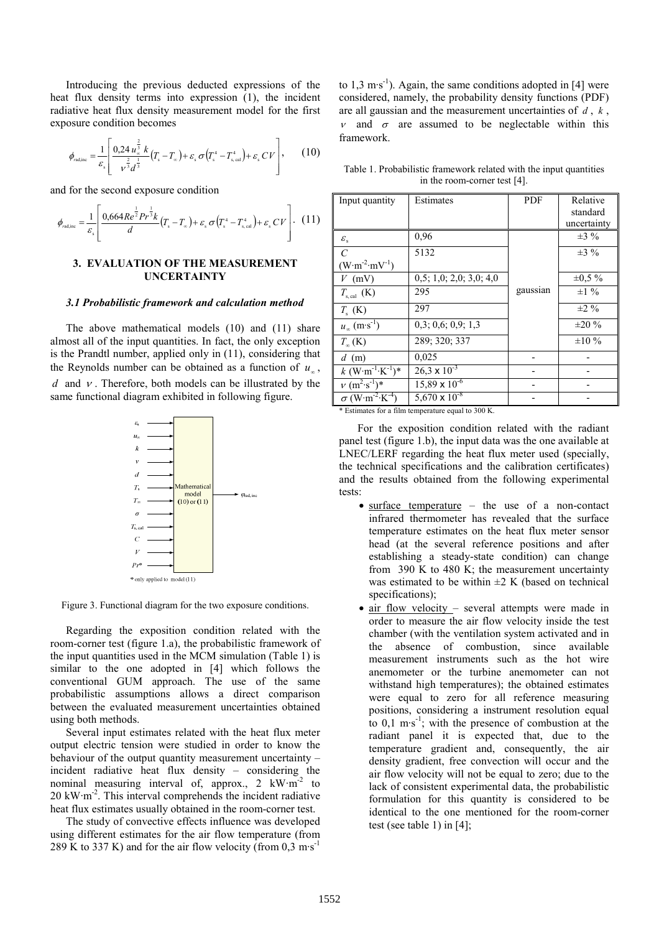Introducing the previous deducted expressions of the heat flux density terms into expression (1), the incident radiative heat flux density measurement model for the first exposure condition becomes

$$
\phi_{\text{rad,inc}} = \frac{1}{\varepsilon_s} \left[ \frac{0.24 \, u_s^{\frac{2}{3}} \, k}{v^{\frac{2}{3}} d^{\frac{1}{3}}} (T_s - T_\infty) + \varepsilon_s \, \sigma \left( T_s^4 - T_{s,\text{cal}}^4 \right) + \varepsilon_s \, CV \right],\tag{10}
$$

and for the second exposure condition

$$
\phi_{\text{rad,inc}} = \frac{1}{\varepsilon_{\text{s}}} \left[ \frac{0.664 Re^{\frac{1}{2}} Pr^{\frac{1}{3}} k}{d} (T_{\text{s}} - T_{\text{ex}}) + \varepsilon_{\text{s}} \sigma (T_{\text{s}}^4 - T_{\text{s, cal}}^4) + \varepsilon_{\text{s}} CV \right]. (11)
$$

## 3. EVALUATION OF THE MEASUREMENT UNCERTAINTY

#### 3.1 Probabilistic framework and calculation method

The above mathematical models (10) and (11) share almost all of the input quantities. In fact, the only exception is the Prandtl number, applied only in (11), considering that the Reynolds number can be obtained as a function of  $u_{\infty}$ , d and  $\nu$ . Therefore, both models can be illustrated by the same functional diagram exhibited in following figure.



Figure 3. Functional diagram for the two exposure conditions.

Regarding the exposition condition related with the room-corner test (figure 1.a), the probabilistic framework of the input quantities used in the MCM simulation (Table 1) is similar to the one adopted in [4] which follows the conventional GUM approach. The use of the same probabilistic assumptions allows a direct comparison between the evaluated measurement uncertainties obtained using both methods.

Several input estimates related with the heat flux meter output electric tension were studied in order to know the behaviour of the output quantity measurement uncertainty – incident radiative heat flux density – considering the nominal measuring interval of, approx.,  $2 \text{ kW} \cdot \text{m}^{-2}$  to 20 kW·m-2. This interval comprehends the incident radiative heat flux estimates usually obtained in the room-corner test.

The study of convective effects influence was developed using different estimates for the air flow temperature (from 289 K to 337 K) and for the air flow velocity (from  $0.3 \text{ m} \cdot \text{s}^{-1}$ )

to  $1,3 \text{ m·s}^{-1}$ ). Again, the same conditions adopted in [4] were considered, namely, the probability density functions (PDF) are all gaussian and the measurement uncertainties of  $d$ ,  $k$ , <sup>ν</sup> and σ are assumed to be neglectable within this framework.

Table 1. Probabilistic framework related with the input quantities in the room-corner test [4].

| Input quantity                                 | Estimates                       | PDF      | Relative     |
|------------------------------------------------|---------------------------------|----------|--------------|
|                                                |                                 |          | standard     |
|                                                |                                 |          | uncertainty  |
| $\varepsilon_{\rm s}$                          | 0,96                            |          | $\pm 3\%$    |
| $\mathcal{C}$                                  | 5132                            |          | $\pm 3\%$    |
| $(W \cdot m^{-2} \cdot mV^{-1})$               |                                 |          |              |
| $V$ (mV)                                       | 0.5; 1.0; 2.0; 3.0; 4.0         |          | $\pm 0.5 \%$ |
| $T_{\rm s, cal}$ (K)                           | 295                             | gaussian | $\pm 1\%$    |
| $T_{\rm s}$ (K)                                | 297                             |          | $\pm 2\%$    |
| $u_{\infty}$ (m·s <sup>-1</sup> )              | 0.3: 0.6: 0.9: 1.3              |          | $\pm 20 \%$  |
| $T_{\infty}$ (K)                               | 289; 320; 337                   |          | $\pm 10 \%$  |
| $d$ (m)                                        | 0,025                           |          |              |
| $k$ (W·m <sup>-1</sup> ·K <sup>-1</sup> )*     | $26.3 \times 10^{-3}$           |          |              |
| $v (m^2 \cdot s^{-1})^*$                       | $15,89 \times 10^{-6}$          |          |              |
| $\sigma$ (W·m <sup>-2</sup> ·K <sup>-4</sup> ) | 5,670 $\times$ 10 <sup>-8</sup> |          |              |

\* Estimates for a film temperature equal to 300 K.

 For the exposition condition related with the radiant panel test (figure 1.b), the input data was the one available at LNEC/LERF regarding the heat flux meter used (specially, the technical specifications and the calibration certificates) and the results obtained from the following experimental tests:

- surface temperature the use of a non-contact infrared thermometer has revealed that the surface temperature estimates on the heat flux meter sensor head (at the several reference positions and after establishing a steady-state condition) can change from  $390$  K to  $480$  K; the measurement uncertainty was estimated to be within  $\pm 2$  K (based on technical specifications);
- air flow velocity several attempts were made in order to measure the air flow velocity inside the test chamber (with the ventilation system activated and in the absence of combustion, since available measurement instruments such as the hot wire anemometer or the turbine anemometer can not withstand high temperatures); the obtained estimates were equal to zero for all reference measuring positions, considering a instrument resolution equal to  $0,1 \text{ m·s}^{-1}$ ; with the presence of combustion at the radiant panel it is expected that, due to the temperature gradient and, consequently, the air density gradient, free convection will occur and the air flow velocity will not be equal to zero; due to the lack of consistent experimental data, the probabilistic formulation for this quantity is considered to be identical to the one mentioned for the room-corner test (see table 1) in [4];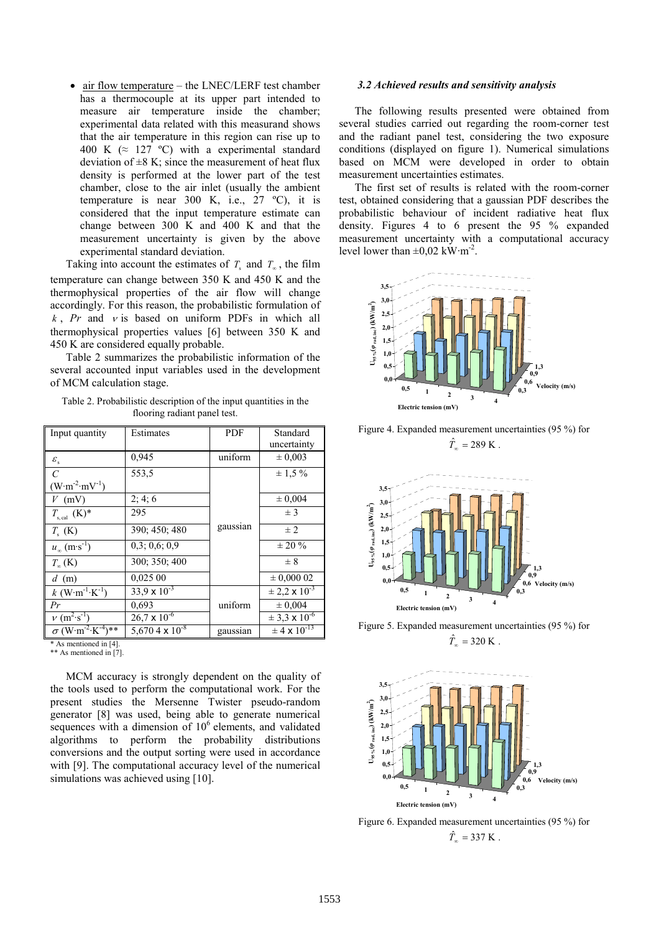• air flow temperature – the LNEC/LERF test chamber has a thermocouple at its upper part intended to measure air temperature inside the chamber; experimental data related with this measurand shows that the air temperature in this region can rise up to 400 K ( $\approx$  127 °C) with a experimental standard deviation of  $\pm 8$  K; since the measurement of heat flux density is performed at the lower part of the test chamber, close to the air inlet (usually the ambient temperature is near 300 K, i.e., 27 ºC), it is considered that the input temperature estimate can change between 300 K and 400 K and that the measurement uncertainty is given by the above experimental standard deviation.

Taking into account the estimates of  $T_s$  and  $T_\infty$ , the film temperature can change between 350 K and 450 K and the thermophysical properties of the air flow will change accordingly. For this reason, the probabilistic formulation of  $k$ , Pr and  $v$  is based on uniform PDFs in which all thermophysical properties values [6] between 350 K and 450 K are considered equally probable.

Table 2 summarizes the probabilistic information of the several accounted input variables used in the development of MCM calculation stage.

Table 2. Probabilistic description of the input quantities in the flooring radiant panel test.

| Input quantity                                   | Estimates                         | PDF      | Standard                     |
|--------------------------------------------------|-----------------------------------|----------|------------------------------|
|                                                  |                                   |          | uncertainty                  |
| $\varepsilon_{\rm s}$                            | 0.945                             | uniform  | $\pm 0.003$                  |
| $\mathcal{C}$                                    | 553.5                             |          | $\pm$ 1.5 %                  |
| $(W \cdot m^{-2} \cdot mV^{-1})$                 |                                   |          |                              |
| $V$ (mV)                                         | 2; 4; 6                           |          | $\pm 0,004$                  |
| $T_{\rm s, cal}$ (K)*                            | 295                               |          | $±$ 3                        |
| $T_{\rm c}$ (K)                                  | 390; 450; 480                     | gaussian | $\pm$ 2.                     |
| $u_{\infty}$ (m·s <sup>-1</sup> )                | 0,3;0,6;0,9                       |          | $\pm 20 \%$                  |
| $T_{\infty}$ (K)                                 | 300; 350; 400                     |          | $\pm 8$                      |
| $d$ (m)                                          | 0.02500                           |          | $\pm 0,00002$                |
| $k$ (W·m <sup>-1</sup> ·K <sup>-1</sup> )        | $33,9 \times 10^{-3}$             |          | $\pm 2.2 \times 10^{-3}$     |
| Pr                                               | 0.693                             | uniform  | ± 0,004                      |
| $v (m^2 \cdot s^{-1})$                           | $26.7 \times 10^{-6}$             |          | $\pm$ 3,3 x 10 <sup>-6</sup> |
| $\sigma$ (W·m <sup>-2</sup> ·K <sup>-4</sup> )** | 5,670 4 $\times$ 10 <sup>-8</sup> | gaussian | $\pm$ 4 x 10 <sup>-13</sup>  |
| * As mentioned in [4].                           |                                   |          |                              |

\*\* As mentioned in [7].

MCM accuracy is strongly dependent on the quality of the tools used to perform the computational work. For the present studies the Mersenne Twister pseudo-random generator [8] was used, being able to generate numerical sequences with a dimension of  $10<sup>6</sup>$  elements, and validated algorithms to perform the probability distributions conversions and the output sorting were used in accordance with [9]. The computational accuracy level of the numerical simulations was achieved using [10].

#### 3.2 Achieved results and sensitivity analysis

The following results presented were obtained from several studies carried out regarding the room-corner test and the radiant panel test, considering the two exposure conditions (displayed on figure 1). Numerical simulations based on MCM were developed in order to obtain measurement uncertainties estimates.

The first set of results is related with the room-corner test, obtained considering that a gaussian PDF describes the probabilistic behaviour of incident radiative heat flux density. Figures 4 to 6 present the 95 % expanded measurement uncertainty with a computational accuracy level lower than  $\pm 0.02$  kW·m<sup>-2</sup>.



 Figure 4. Expanded measurement uncertainties (95 %) for  $\hat{T}_{\infty} = 289 \text{ K}.$ 



Figure 5. Expanded measurement uncertainties (95 %) for  $\hat{T}_{\infty} = 320 \text{ K}.$ 



Figure 6. Expanded measurement uncertainties (95 %) for  $\hat{T}_{\infty} = 337 \text{ K}.$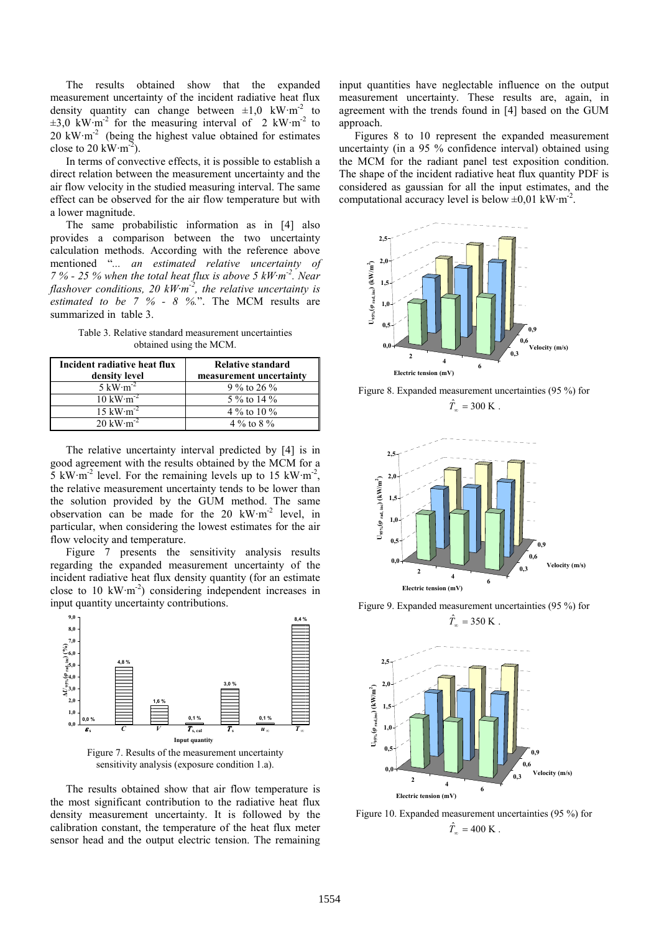The results obtained show that the expanded measurement uncertainty of the incident radiative heat flux density quantity can change between  $\pm 1,0$  kW·m<sup>-2</sup> to  $\pm 3.0$  kW·m<sup>-2</sup> for the measuring interval of 2 kW·m<sup>-2</sup> to  $20 \text{ kW} \cdot \text{m}^{-2}$  (being the highest value obtained for estimates close to 20 kW $\cdot$ m<sup>-2</sup>).

In terms of convective effects, it is possible to establish a direct relation between the measurement uncertainty and the air flow velocity in the studied measuring interval. The same effect can be observed for the air flow temperature but with a lower magnitude.

The same probabilistic information as in [4] also provides a comparison between the two uncertainty calculation methods. According with the reference above mentioned "... an estimated relative uncertainty of 7 % - 25 % when the total heat flux is above 5  $kW·m<sup>-2</sup>$ . Near flashover conditions, 20  $kW·m<sup>-2</sup>$ , the relative uncertainty is estimated to be  $7\%$  -  $8\%$ .". The MCM results are summarized in table 3.

Table 3. Relative standard measurement uncertainties obtained using the MCM.

| Incident radiative heat flux<br>density level | <b>Relative standard</b><br>measurement uncertainty |
|-----------------------------------------------|-----------------------------------------------------|
| 5 kW $\cdot$ m <sup>-2</sup>                  | 9 % to 26 %                                         |
| $10 \text{ kW} \cdot \text{m}^{-2}$           | 5 % to 14 %                                         |
| $15 \text{ kW} \cdot \text{m}^{-2}$           | 4 % to 10 %                                         |
| 20 kW $\cdot$ m <sup>-2</sup>                 | 4 % to 8 %                                          |

The relative uncertainty interval predicted by [4] is in good agreement with the results obtained by the MCM for a  $5 \text{ kW} \cdot \text{m}^{-2}$  level. For the remaining levels up to 15 kW $\cdot \text{m}^{-2}$ , the relative measurement uncertainty tends to be lower than the solution provided by the GUM method. The same observation can be made for the 20 kW·m-2 level, in particular, when considering the lowest estimates for the air flow velocity and temperature.

Figure 7 presents the sensitivity analysis results regarding the expanded measurement uncertainty of the incident radiative heat flux density quantity (for an estimate close to 10 kW $\cdot$ m<sup>-2</sup>) considering independent increases in input quantity uncertainty contributions.



The results obtained show that air flow temperature is the most significant contribution to the radiative heat flux density measurement uncertainty. It is followed by the calibration constant, the temperature of the heat flux meter sensor head and the output electric tension. The remaining

input quantities have neglectable influence on the output measurement uncertainty. These results are, again, in agreement with the trends found in [4] based on the GUM approach.

Figures 8 to 10 represent the expanded measurement uncertainty (in a 95 % confidence interval) obtained using the MCM for the radiant panel test exposition condition. The shape of the incident radiative heat flux quantity PDF is considered as gaussian for all the input estimates, and the computational accuracy level is below  $\pm 0.01 \text{ kW} \cdot \text{m}^{-2}$ .



Figure 8. Expanded measurement uncertainties (95 %) for  $\hat{T}_{\infty} = 300 \text{ K}.$ 



Figure 9. Expanded measurement uncertainties (95 %) for  $\hat{T}_{\infty} = 350 \text{ K}.$ 



Figure 10. Expanded measurement uncertainties (95 %) for  $\hat{T}_{\infty} = 400 \text{ K}.$